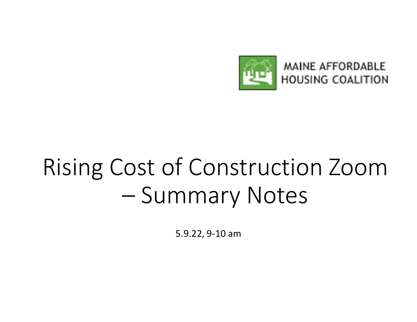

# Rising Cost of Construction Zoom FIFED HOUSING COALIT<br>
OST Of Construction Zoc<br>
— Summary Notes<br>
5.9.22, 9-10 am

5.9.22, 9-10 am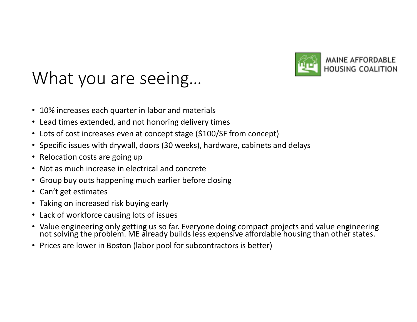

### What you are seeing… • Lots of cost increases even at concept stage (\$100/SF from concept) • Specific issues with drywall, doors (30 weeks), hardware, cabinets and delays What you are seeing...<br>• 10% increases each quarter in labor and materials<br>• Lead times extended, and not honoring delivery times<br>• Lots of cost increases even at concept stage (\$100/SF from concept)<br>• Specific issues with • 10 The Seeding...<br>• 10% increases each quarter in labor and materials<br>• Lead times extended, and not honoring delivery times<br>• Lots of cost increases even at concept stage (\$100/SF from concept)<br>• Specific issues with dr • Group buy outs happening much earlier before closing<br>• 10% increases each quarter in labor and materials<br>• Lead times extended, and not honoring delivery times<br>• Specific issues with drywall, doors (30 weeks), hardware,

- 10% increases each quarter in labor and materials
- Lead times extended, and not honoring delivery times
- 
- 
- 
- 
- 
- Can't get estimates
- Taking on increased risk buying early
- Lack of workforce causing lots of issues
- Value engineering only getting us so far. Everyone doing compact projects and value engineering not solving the problem. ME already builds less expensive affordable housing than other states.
- Prices are lower in Boston (labor pool for subcontractors is better)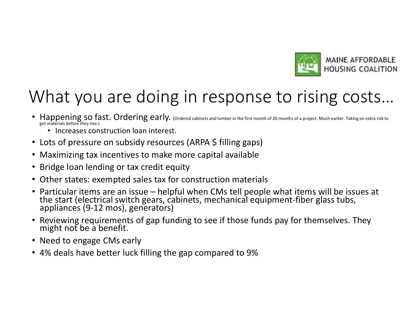

# What you are doing in response to rising costs… • Happening so fast. Ordering early. For pressure and limited in the state of prior and a screen subside coality of the magnesis of a screen of the magnesis of a screen on subside the magnesis of a screen on subside the ma

- Happening so fast. Ordering early. (Ordered cabinets and lumber in the first month of 20 months of a project. Much earlier. Taking on extra risk to get materials before they rise.)
	- Increases construction loan interest.
- 
- Maximizing tax incentives to make more capital available
- Bridge loan lending or tax credit equity
- Other states: exempted sales tax for construction materials
- **EFFORDABLE**<br>
 Happening so fast. Ordering early. Conservations are an interest and the first month of a project. Much critics are an interest<br>
 Lots of pressure on subsidy resources (ARPA \$ filling gaps)<br>
 Maximizing t
- Reviewing requirements of gap funding to see if those funds pay for themselves. They
- Need to engage CMs early
- 4% deals have better luck filling the gap compared to 9%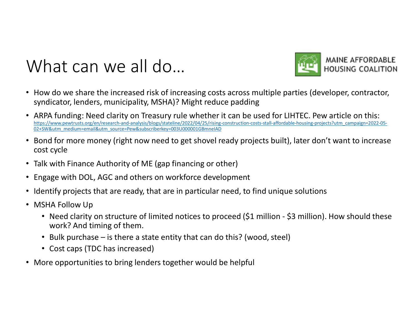#### What can we all do...



- How do we share the increased risk of increasing costs across multiple parties (developer, contractor,
- **Syndicator, lenders, municipality, MSHA)?** Might reduce padding<br>syndicator, lenders, municipality, MSHA)? Might reduce padding<br>ARPA funding: Need clarity on Treasury rule whether it can be used for LIHTEC. Pew article on • ARPA funding: Need clarity on Treasury rule whether it can be used for LIHTEC. Pew article on this: https://www.pewtrusts.org/en/research-and-analysis/blogs/stateline/2022/04/25/rising-construction-costs-stall-affordable-housing-projects?utm\_campaign=2022-05-02+SW&utm\_medium=email&utm\_source=Pew&subscriberkey=003U000001GBmneIAD **What can we all do...** MAINE AFFORDABLE<br>
• How do we share the increased risk of increasing costs across multiple parties (developer, contractor,<br>
• syndicator, lenders, municipality, MSHA)? Might reduce padding<br>
• ARPA For the increased risk of increasing costs across multiple parties (developer, contractor, modicator, lenders, municipality, MSHA)? Might reduce padding<br>RPA funding: Need clarity on Treasury rule whether it can be used for • ARPA funding: Need clarity on Treasury rule whether it can be used for LIHTEC. Pew arthousses that the purchase and the caps (research and one caps (respectively consider an opportunities considerably projects built), la
- cost cycle
- Talk with Finance Authority of ME (gap financing or other)
- Engage with DOL, AGC and others on workforce development
- Identify projects that are ready, that are in particular need, to find unique solutions
- MSHA Follow Up
	- work? And timing of them.
	-
	-
-